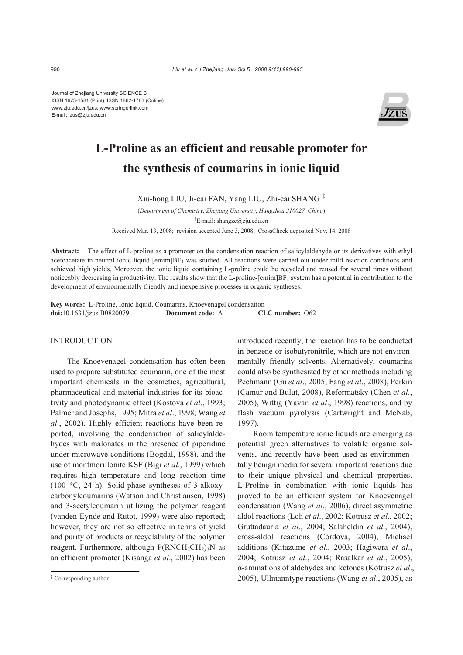Journal of Zhejiang University SCIENCE B ISSN 1673-1581 (Print); ISSN 1862-1783 (Online) www.zju.edu.cn/jzus; www.springerlink.com E-mail: jzus@zju.edu.cn



# **L-Proline as an efficient and reusable promoter for the synthesis of coumarins in ionic liquid**

Xiu-hong LIU, Ji-cai FAN, Yang LIU, Zhi-cai SHANG†‡

(*Department of Chemistry, Zhejiang University, Hangzhou 310027, China*) † E-mail: shangzc@zju.edu.cn

Received Mar. 13, 2008; revision accepted June 3, 2008; CrossCheck deposited Nov. 14, 2008

**Abstract:** The effect of L-proline as a promoter on the condensation reaction of salicylaldehyde or its derivatives with ethyl acetoacetate in neutral ionic liquid  $[emim]BF_4$  was studied. All reactions were carried out under mild reaction conditions and achieved high yields. Moreover, the ionic liquid containing L-proline could be recycled and reused for several times without noticeably decreasing in productivity. The results show that the L-proline-[emim] $BF_4$  system has a potential in contribution to the development of environmentally friendly and inexpensive processes in organic syntheses.

**Key words:** L-Proline, Ionic liquid, Coumarins, Knoevenagel condensation **doi:**10.1631/jzus.B0820079 **Document code:** A **CLC number:** O62

## INTRODUCTION

The Knoevenagel condensation has often been used to prepare substituted coumarin, one of the most important chemicals in the cosmetics, agricultural, pharmaceutical and material industries for its bioactivity and photodynamic effect (Kostova *et al*., 1993; Palmer and Josephs, 1995; Mitra *et al*., 1998; Wang *et al*., 2002). Highly efficient reactions have been reported, involving the condensation of salicylaldehydes with malonates in the presence of piperidine under microwave conditions (Bogdal, 1998), and the use of montmorillonite KSF (Bigi *et al*., 1999) which requires high temperature and long reaction time (100 °C, 24 h). Solid-phase syntheses of 3-alkoxycarbonylcoumarins (Watson and Christiansen, 1998) and 3-acetylcoumarin utilizing the polymer reagent (vanden Eynde and Rutot, 1999) were also reported; however, they are not so effective in terms of yield and purity of products or recyclability of the polymer reagent. Furthermore, although  $P(RNCH_2CH_2)_3N$  as an efficient promoter (Kisanga *et al*., 2002) has been

introduced recently, the reaction has to be conducted in benzene or isobutyronitrile, which are not environmentally friendly solvents. Alternatively, coumarins could also be synthesized by other methods including Pechmann (Gu *et al*., 2005; Fang *et al*., 2008), Perkin (Camur and Bulut, 2008), Reformatsky (Chen *et al*., 2005), Wittig (Yavari *et al*., 1998) reactions, and by flash vacuum pyrolysis (Cartwright and McNab, 1997).

Room temperature ionic liquids are emerging as potential green alternatives to volatile organic solvents, and recently have been used as environmentally benign media for several important reactions due to their unique physical and chemical properties. L-Proline in combination with ionic liquids has proved to be an efficient system for Knoevenagel condensation (Wang *et al*., 2006), direct asymmetric aldol reactions (Loh *et al*., 2002; Kotrusz *et al*., 2002; Gruttadauria *et al*., 2004; Salaheldin *et al*., 2004), cross-aldol reactions (Córdova, 2004), Michael additions (Kitazume *et al*., 2003; Hagiwara *et al*., 2004; Kotrusz *et al*., 2004; Rasalkar *et al*., 2005), α-aminations of aldehydes and ketones (Kotrusz *et al*., 2005), Ullmanntype reactions (Wang *et al*., 2005), as

<sup>‡</sup> Corresponding author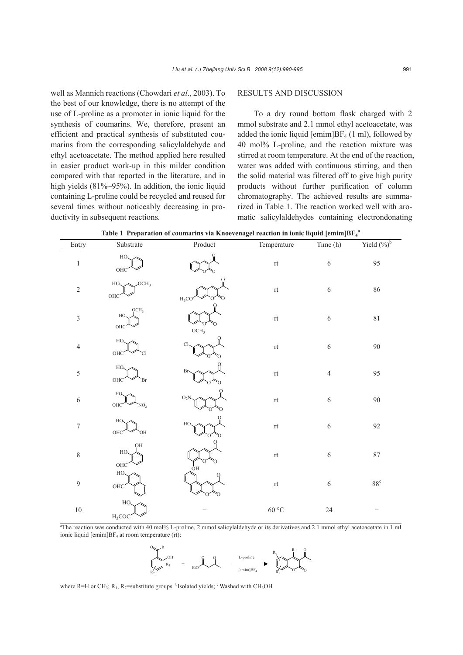well as Mannich reactions (Chowdari *et al*., 2003). To the best of our knowledge, there is no attempt of the use of L-proline as a promoter in ionic liquid for the synthesis of coumarins. We, therefore, present an efficient and practical synthesis of substituted coumarins from the corresponding salicylaldehyde and ethyl acetoacetate. The method applied here resulted in easier product work-up in this milder condition compared with that reported in the literature, and in high yields (81%~95%). In addition, the ionic liquid containing L-proline could be recycled and reused for several times without noticeably decreasing in productivity in subsequent reactions.

## RESULTS AND DISCUSSION

To a dry round bottom flask charged with 2 mmol substrate and 2.1 mmol ethyl acetoacetate, was added the ionic liquid  $[emim]BF_4 (1 ml)$ , followed by 40 mol% L-proline, and the reaction mixture was stirred at room temperature. At the end of the reaction, water was added with continuous stirring, and then the solid material was filtered off to give high purity products without further purification of column chromatography. The achieved results are summarized in Table 1. The reaction worked well with aromatic salicylaldehydes containing electrondonating

| Entry            | Substrate                                   | Product           | Temperature                                      | Time (h)       | Yield $(\%)^b$ |
|------------------|---------------------------------------------|-------------------|--------------------------------------------------|----------------|----------------|
| $\,1\,$          | HO.<br>OHC                                  | О                 | $\ensuremath{\operatorname{rt}}$                 | $\sqrt{6}$     | 95             |
| $\sqrt{2}$       | OCH <sub>3</sub><br>HO.<br>$OHC$            | $H_3CO$           | $\ensuremath{\operatorname{rt}}$                 | $\sqrt{6}$     | $86\,$         |
| $\mathfrak{Z}$   | QCH <sub>3</sub><br>HO.<br>OHC <sup>-</sup> | OCH <sub>3</sub>  | $\ensuremath{\operatorname{rt}}$                 | $\sqrt{6}$     | $8\sqrt{1}$    |
| $\overline{4}$   | HO.<br><b>OHC</b><br>Cl                     | Cl-               | $\ensuremath{\mathsf{r}}\ensuremath{\mathsf{t}}$ | $\sqrt{6}$     | 90             |
| $\sqrt{5}$       | HO.<br>OHC <sup>-</sup><br>Br               | Br-               | $\ensuremath{\mathsf{r}}\ensuremath{\mathsf{t}}$ | $\overline{4}$ | 95             |
| $\sqrt{6}$       | HO.<br><b>OHC</b><br>NO <sub>2</sub>        | $\mathrm{O_{2}N}$ | $\ensuremath{\mathsf{r}}\ensuremath{\mathsf{t}}$ | $\sqrt{6}$     | $90\,$         |
| $\boldsymbol{7}$ | HO.<br>OHC<br>`OH                           | HO.               | $\ensuremath{\operatorname{rt}}$                 | $\sqrt{6}$     | 92             |
| $\,$ $\,$        | QH<br>HO.<br>OHC <sup>-</sup>               | ÒΗ                | $\ensuremath{\operatorname{rt}}$                 | $\sqrt{6}$     | $87\,$         |
| $\overline{9}$   | HO.<br>OHC <sup>-</sup>                     |                   | $\ensuremath{\mathsf{r}}\ensuremath{\mathsf{t}}$ | $\sqrt{6}$     | $88^{\rm c}$   |
| $10\,$           | HO.<br>$H_3COC$                             |                   | $60\,^{\circ}\mathrm{C}$                         | $24\,$         |                |

Table 1 Preparation of coumarins via Knoevenagel reaction in ionic liquid [emim]BF<sub>4</sub><sup>a</sup>

a The reaction was conducted with 40 mol% L-proline, 2 mmol salicylaldehyde or its derivatives and 2.1 mmol ethyl acetoacetate in 1 ml ionic liquid  $[emim]BF_4$  at room temperature (rt):



where R=H or CH<sub>3</sub>; R<sub>1</sub>, R<sub>2</sub>=substitute groups. <sup>b</sup>Isolated yields; c Washed with CH<sub>3</sub>OH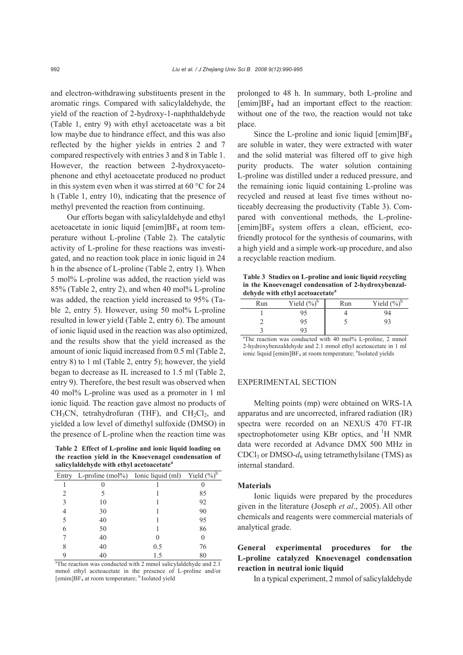and electron-withdrawing substituents present in the aromatic rings. Compared with salicylaldehyde, the yield of the reaction of 2-hydroxy-1-naphthaldehyde (Table 1, entry 9) with ethyl acetoacetate was a bit low maybe due to hindrance effect, and this was also reflected by the higher yields in entries 2 and 7 compared respectively with entries 3 and 8 in Table 1. However, the reaction between 2-hydroxyacetophenone and ethyl acetoacetate produced no product in this system even when it was stirred at 60 °C for 24 h (Table 1, entry 10), indicating that the presence of methyl prevented the reaction from continuing.

Our efforts began with salicylaldehyde and ethyl acetoacetate in ionic liquid  $[emim]BF<sub>4</sub>$  at room temperature without L-proline (Table 2). The catalytic activity of L-proline for these reactions was investigated, and no reaction took place in ionic liquid in 24 h in the absence of L-proline (Table 2, entry 1). When 5 mol% L-proline was added, the reaction yield was 85% (Table 2, entry 2), and when 40 mol% L-proline was added, the reaction yield increased to 95% (Table 2, entry 5). However, using 50 mol% L-proline resulted in lower yield (Table 2, entry 6). The amount of ionic liquid used in the reaction was also optimized, and the results show that the yield increased as the amount of ionic liquid increased from 0.5 ml (Table 2, entry 8) to 1 ml (Table 2, entry 5); however, the yield began to decrease as IL increased to 1.5 ml (Table 2, entry 9). Therefore, the best result was observed when 40 mol% L-proline was used as a promoter in 1 ml ionic liquid. The reaction gave almost no products of  $CH<sub>3</sub>CN$ , tetrahydrofuran (THF), and  $CH<sub>2</sub>Cl<sub>2</sub>$ , and yielded a low level of dimethyl sulfoxide (DMSO) in the presence of L-proline when the reaction time was

**Table 2 Effect of L-proline and ionic liquid loading on the reaction yield in the Knoevenagel condensation of salicylaldehyde with ethyl acetoacetate<sup>a</sup>**

| Entry                                                                       | L-proline $(mol\%)$ Ionic liquid $(ml)$ |     | Yield $(\sqrt[9]{\cdot})^{\overline{b}}$ |  |  |
|-----------------------------------------------------------------------------|-----------------------------------------|-----|------------------------------------------|--|--|
|                                                                             |                                         |     |                                          |  |  |
| $\overline{c}$                                                              | 5                                       |     | 85                                       |  |  |
| 3                                                                           | 10                                      |     | 92                                       |  |  |
| 4                                                                           | 30                                      |     | 90                                       |  |  |
| 5                                                                           | 40                                      |     | 95                                       |  |  |
| 6                                                                           | 50                                      |     | 86                                       |  |  |
|                                                                             | 40                                      |     | 0                                        |  |  |
| 8                                                                           | 40                                      | 0.5 | 76                                       |  |  |
|                                                                             | 40                                      | 1.5 | 80                                       |  |  |
| <sup>a</sup> The reaction was conducted with 2 mmol salicylaldehyde and 2.1 |                                         |     |                                          |  |  |

mmol ethyl acetoacetate in the presence of L-proline and/or [emim]BF<sub>4</sub> at room temperature; <sup>b</sup> Isolated yield

prolonged to 48 h. In summary, both L-proline and  $[emim]BF<sub>4</sub>$  had an important effect to the reaction: without one of the two, the reaction would not take place.

Since the L-proline and ionic liquid  $[emim]BF_4$ are soluble in water, they were extracted with water and the solid material was filtered off to give high purity products. The water solution containing L-proline was distilled under a reduced pressure, and the remaining ionic liquid containing L-proline was recycled and reused at least five times without noticeably decreasing the productivity (Table 3). Compared with conventional methods, the L-proline- [emim]BF4 system offers a clean, efficient, ecofriendly protocol for the synthesis of coumarins, with a high yield and a simple work-up procedure, and also a recyclable reaction medium.

**Table 3 Studies on L-proline and ionic liquid recycling in the Knoevenagel condensation of 2-hydroxybenzaldehyde with ethyl acetoacetate<sup>a</sup>**

| Run | Yield $(\%)^b$                                                         | Run | Yield $(\%)^b$ |
|-----|------------------------------------------------------------------------|-----|----------------|
|     | 95                                                                     |     | 94             |
|     | 95                                                                     |     |                |
|     |                                                                        |     |                |
|     | <sup>a</sup> The reaction was conducted with 40 mol% L-proline, 2 mmol |     |                |

2-hydroxybenzaldehyde and 2.1 mmol ethyl acetoacetate in 1 ml ionic liquid [emim]BF<sub>4</sub> at room temperature; <sup>b</sup>Isolated yields

### EXPERIMENTAL SECTION

Melting points (mp) were obtained on WRS-1A apparatus and are uncorrected, infrared radiation (IR) spectra were recorded on an NEXUS 470 FT-IR spectrophotometer using KBr optics, and <sup>1</sup>H NMR data were recorded at Advance DMX 500 MHz in CDCl<sub>3</sub> or DMSO- $d_6$  using tetramethylsilane (TMS) as internal standard.

## **Materials**

Ionic liquids were prepared by the procedures given in the literature (Joseph *et al*., 2005). All other chemicals and reagents were commercial materials of analytical grade.

# **General experimental procedures for the L-proline catalyzed Knoevenagel condensation reaction in neutral ionic liquid**

In a typical experiment, 2 mmol of salicylaldehyde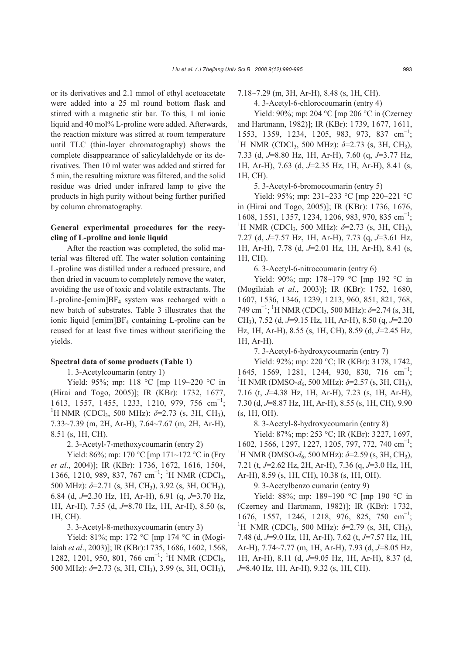or its derivatives and 2.1 mmol of ethyl acetoacetate were added into a 25 ml round bottom flask and stirred with a magnetic stir bar. To this, 1 ml ionic liquid and 40 mol% L-proline were added. Afterwards, the reaction mixture was stirred at room temperature until TLC (thin-layer chromatography) shows the complete disappearance of salicylaldehyde or its derivatives. Then 10 ml water was added and stirred for 5 min, the resulting mixture was filtered, and the solid residue was dried under infrared lamp to give the products in high purity without being further purified by column chromatography.

# **General experimental procedures for the recycling of L-proline and ionic liquid**

After the reaction was completed, the solid material was filtered off. The water solution containing L-proline was distilled under a reduced pressure, and then dried in vacuum to completely remove the water, avoiding the use of toxic and volatile extractants. The L-proline-[emim]BF4 system was recharged with a new batch of substrates. Table 3 illustrates that the ionic liquid [emim]BF4 containing L-proline can be reused for at least five times without sacrificing the yields.

## **Spectral data of some products (Table 1)**

1. 3-Acetylcoumarin (entry 1)

Yield: 95%; mp: 118 °C [mp 119~220 °C in (Hirai and Togo, 2005)]; IR (KBr): 1732, 1677, 1613, 1557, 1455, 1233, 1210, 979, 756 cm<sup>-1</sup>; <sup>1</sup>H NMR (CDCl<sub>3</sub>, 500 MHz):  $\delta$ =2.73 (s, 3H, CH<sub>3</sub>), 7.33~7.39 (m, 2H, Ar-H), 7.64~7.67 (m, 2H, Ar-H), 8.51 (s, 1H, CH).

2. 3-Acetyl-7-methoxycoumarin (entry 2)

Yield: 86%; mp: 170 °C [mp 171~172 °C in (Fry *et al*., 2004)]; IR (KBr): 1736, 1672, 1616, 1504, 1366, 1210, 989, 837, 767 cm<sup>-1</sup>; <sup>1</sup>H NMR (CDCl<sub>3</sub>, 500 MHz): *δ*=2.71 (s, 3H, CH3), 3.92 (s, 3H, OCH3), 6.84 (d, *J*=2.30 Hz, 1H, Ar-H), 6.91 (q, *J*=3.70 Hz, 1H, Ar-H), 7.55 (d, *J*=8.70 Hz, 1H, Ar-H), 8.50 (s, 1H, CH).

3. 3-Acetyl-8-methoxycoumarin (entry 3)

Yield: 81%; mp: 172 °C [mp 174 °C in (Mogilaiah *et al*., 2003)]; IR (KBr):1735, 1686, 1602, 1568, 1282, 1201, 950, 801, 766 cm<sup>-1</sup>; <sup>1</sup>H NMR (CDCl<sub>3</sub>, 500 MHz):  $\delta$ =2.73 (s, 3H, CH<sub>3</sub>), 3.99 (s, 3H, OCH<sub>3</sub>),

7.18~7.29 (m, 3H, Ar-H), 8.48 (s, 1H, CH).

4. 3-Acetyl-6-chlorocoumarin (entry 4)

Yield: 90%; mp: 204 °C [mp 206 °C in (Czerney and Hartmann, 1982)]; IR (KBr): 1739, 1677, 1611, 1553, 1359, 1234, 1205, 983, 973, 837 cm<sup>-1</sup>; <sup>1</sup>H NMR (CDCl<sub>3</sub>, 500 MHz):  $\delta$ =2.73 (s, 3H, CH<sub>3</sub>), 7.33 (d, *J*=8.80 Hz, 1H, Ar-H), 7.60 (q, *J*=3.77 Hz, 1H, Ar-H), 7.63 (d, *J*=2.35 Hz, 1H, Ar-H), 8.41 (s, 1H, CH).

5. 3-Acetyl-6-bromocoumarin (entry 5)

Yield: 95%; mp: 231~233 °C [mp 220~221 °C in (Hirai and Togo, 2005)]; IR (KBr): 1736, 1676, 1608, 1551, 1357, 1234, 1206, 983, 970, 835 cm<sup>−</sup><sup>1</sup> ; <sup>1</sup>H NMR (CDCl<sub>3</sub>, 500 MHz):  $\delta$ =2.73 (s, 3H, CH<sub>3</sub>), 7.27 (d, *J*=7.57 Hz, 1H, Ar-H), 7.73 (q, *J*=3.61 Hz, 1H, Ar-H), 7.78 (d, *J*=2.01 Hz, 1H, Ar-H), 8.41 (s, 1H, CH).

6. 3-Acetyl-6-nitrocoumarin (entry 6)

Yield: 90%; mp: 178~179 °C [mp 192 °C in (Mogilaiah *et al*., 2003)]; IR (KBr): 1752, 1680, 1607, 1536, 1346, 1239, 1213, 960, 851, 821, 768, 749 cm<sup>−</sup><sup>1</sup> ; 1 H NMR (CDCl3, 500 MHz): *δ*=2.74 (s, 3H, CH3), 7.52 (d, *J*=9.15 Hz, 1H, Ar-H), 8.50 (q, *J*=2.20 Hz, 1H, Ar-H), 8.55 (s, 1H, CH), 8.59 (d, *J*=2.45 Hz, 1H, Ar-H).

7. 3-Acetyl-6-hydroxycoumarin (entry 7)

Yield: 92%; mp: 220 °C; IR (KBr): 3178, 1742, 1645, 1569, 1281, 1244, 930, 830, 716 cm<sup>-1</sup>; <sup>1</sup>H NMR (DMSO-*d*<sub>6</sub>, 500 MHz):  $\delta$ =2.57 (s, 3H, CH<sub>3</sub>), 7.16 (t, *J*=4.38 Hz, 1H, Ar-H), 7.23 (s, 1H, Ar-H), 7.30 (d, *J*=8.87 Hz, 1H, Ar-H), 8.55 (s, 1H, CH), 9.90 (s, 1H, OH).

8. 3-Acetyl-8-hydroxycoumarin (entry 8)

Yield: 87%; mp: 253 °C; IR (KBr): 3227, 1697, 1602, 1566, 1297, 1227, 1205, 797, 772, 740 cm<sup>-1</sup>; <sup>1</sup>H NMR (DMSO-*d*<sub>6</sub>, 500 MHz):  $\delta$ =2.59 (s, 3H, CH<sub>3</sub>), 7.21 (t, *J*=2.62 Hz, 2H, Ar-H), 7.36 (q, *J*=3.0 Hz, 1H, Ar-H), 8.59 (s, 1H, CH), 10.38 (s, 1H, OH).

9. 3-Acetylbenzo cumarin (entry 9)

Yield: 88%; mp: 189~190 °C [mp 190 °C in (Czerney and Hartmann, 1982)]; IR (KBr): 1732, 1676, 1557, 1246, 1218, 976, 825, 750 cm<sup>-1</sup>; <sup>1</sup>H NMR (CDCl<sub>3</sub>, 500 MHz):  $\delta$ =2.79 (s, 3H, CH<sub>3</sub>), 7.48 (d, *J*=9.0 Hz, 1H, Ar-H), 7.62 (t, *J*=7.57 Hz, 1H, Ar-H), 7.74~7.77 (m, 1H, Ar-H), 7.93 (d, *J*=8.05 Hz, 1H, Ar-H), 8.11 (d, *J*=9.05 Hz, 1H, Ar-H), 8.37 (d, *J*=8.40 Hz, 1H, Ar-H), 9.32 (s, 1H, CH).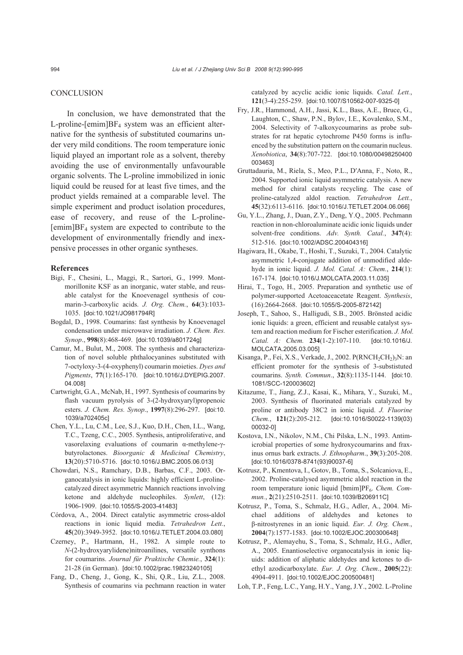## **CONCLUSION**

In conclusion, we have demonstrated that the L-proline-[emim] $BF_4$  system was an efficient alternative for the synthesis of substituted coumarins under very mild conditions. The room temperature ionic liquid played an important role as a solvent, thereby avoiding the use of environmentally unfavourable organic solvents. The L-proline immobilized in ionic liquid could be reused for at least five times, and the product yields remained at a comparable level. The simple experiment and product isolation procedures, ease of recovery, and reuse of the L-proline-  $[emim]BF<sub>4</sub>$  system are expected to contribute to the development of environmentally friendly and inexpensive processes in other organic syntheses.

#### **References**

- Bigi, F., Chesini, L., Maggi, R., Sartori, G., 1999. Montmorillonite KSF as an inorganic, water stable, and reusable catalyst for the Knoevenagel synthesis of coumarin-3-carboxylic acids. *J. Org. Chem.*, **64**(3):1033- 1035. [doi:10.1021/JO981794R]
- Bogdal, D., 1998. Coumarins: fast synthesis by Knoevenagel condensation under microwave irradiation. *J. Chem. Res. Synop*., **998**(8):468-469. [doi:10.1039/a801724g]
- Camur, M., Bulut, M., 2008. The synthesis and characterization of novel soluble phthalocyanines substituted with 7-octyloxy-3-(4-oxyphenyl) coumarin moieties. *Dyes and Pigments*, **77**(1):165-170. [doi:10.1016/J.DYEPIG.2007. 04.008]
- Cartwright, G.A., McNab, H., 1997. Synthesis of coumarins by flash vacuum pyrolysis of 3-(2-hydroxyaryl)propenoic esters. *J. Chem. Res. Synop*., **1997**(8):296-297. [doi:10. 1039/a702405c]
- Chen, Y.L., Lu, C.M., Lee, S.J., Kuo, D.H., Chen, I.L., Wang, T.C., Tzeng, C.C., 2005. Synthesis, antiproliferative, and vasorelaxing evaluations of coumarin α-methylene-γbutyrolactones. *Bioorganic & Medicinal Chemistry*, **13**(20):5710-5716. [doi:10.1016/J.BMC.2005.06.013]
- Chowdari, N.S., Ramchary, D.B., Barbas, C.F., 2003. Organocatalysis in ionic liquids: highly efficient L-prolinecatalyzed direct asymmetric Mannich reactions involving ketone and aldehyde nucleophiles. *Synlett*, (12): 1906-1909. [doi:10.1055/S-2003-41483]
- Córdova, A., 2004. Direct catalytic asymmetric cross-aldol reactions in ionic liquid media. *Tetrahedron Lett.*, **45**(20):3949-3952. [doi:10.1016/J.TETLET.2004.03.080]
- Czerney, P., Hartmann, H., 1982. A simple route to *N*-(2-hydroxyarylidene)nitroanilines, versatile synthons for coumarins. *Journal für Praktische Chemie.*, **324**(1): 21-28 (in German). [doi:10.1002/prac.19823240105]
- Fang, D., Cheng, J., Gong, K., Shi, Q.R., Liu, Z.L., 2008. Synthesis of coumarins via pechmann reaction in water

catalyzed by acyclic acidic ionic liquids. *Catal. Lett.*, **121**(3-4):255-259. [doi:10.1007/S10562-007-9325-0]

- Fry, J.R., Hammond, A.H., Jassi, K.L., Bass, A.E., Bruce, G., Laughton, C., Shaw, P.N., Bylov, I.E., Kovalenko, S.M., 2004. Selectivity of 7-alkoxycoumarins as probe substrates for rat hepatic cytochrome P450 forms is influenced by the substitution pattern on the coumarin nucleus. *Xenobiotica*, **34**(8):707-722. [doi:10.1080/00498250400 003463]
- Gruttadauria, M., Riela, S., Meo, P.L., D′Anna, F., Noto, R., 2004. Supported ionic liquid asymmetric catalysis. A new method for chiral catalysts recycling. The case of proline-catalyzed aldol reaction. *Tetrahedron Lett.*, **45**(32):6113-6116. [doi:10.1016/J.TETLET.2004.06.066]
- Gu, Y.L., Zhang, J., Duan, Z.Y., Deng, Y.Q., 2005. Pechmann reaction in non-chloroaluminate acidic ionic liquids under solvent-free conditions. *Adv. Synth. Catal.*, **347**(4): 512-516. [doi:10.1002/ADSC.200404316]
- Hagiwara, H., Okabe, T., Hoshi, T., Suzuki, T., 2004. Catalytic asymmetric 1,4-conjugate addition of unmodified aldehyde in ionic liquid. *J. Mol. Catal. A: Chem.*, **214**(1): 167-174. [doi:10.1016/J.MOLCATA.2003.11.035]
- Hirai, T., Togo, H., 2005. Preparation and synthetic use of polymer-supported Acetoaceacetate Reagent. *Synthesis*, (16):2664-2668. [doi:10.1055/S-2005-872142]
- Joseph, T., Sahoo, S., Halligudi, S.B., 2005. Brönsted acidic ionic liquids: a green, efficient and reusable catalyst system and reaction medium for Fischer esterification. *J. Mol. Catal. A: Chem.* **234**(1-2):107-110. [doi:10.1016/J. MOLCATA.2005.03.005]
- Kisanga, P., Fei, X.S., Verkade, J., 2002.  $P(RNCH_2CH_2)_3N$ : an efficient promoter for the synthesis of 3-substistuted coumarins. *Synth. Commun*., **32**(8):1135-1144. [doi:10. 1081/SCC-120003602]
- Kitazume, T., Jiang, Z.J., Kasai, K., Mihara, Y., Suzuki, M., 2003. Synthesis of fluorinated materials catalyzed by proline or antibody 38C2 in ionic liquid. *J. Fluorine Chem.*, **121**(2):205-212. [doi:10.1016/S0022-1139(03) 00032-0]
- Kostova, I.N., Nikolov, N.M., Chi Pilska, L.N., 1993. Antimicrobial properties of some hydroxycoumarins and fraxinus ornus bark extracts. *J. Ethnopharm*., **39**(3):205-208. [doi:10.1016/0378-8741(93)90037-6]
- Kotrusz, P., Kmentova, I., Gotov, B., Toma, S., Solcaniova, E., 2002. Proline-catalysed asymmetric aldol reaction in the room temperature ionic liquid [bmim]PF<sub>6</sub>. *Chem. Commun.*, **2**(21):2510-2511. [doi:10.1039/B206911C]
- Kotrusz, P., Toma, S., Schmalz, H.G., Adler, A., 2004. Michael additions of aldehydes and ketones to β-nitrostyrenes in an ionic liquid. *Eur. J. Org. Chem.*, **2004**(7):1577-1583. [doi:10.1002/EJOC.200300648]
- Kotrusz, P., Alemayehu, S., Toma, S., Schmalz, H.G., Adler, A., 2005. Enantioselective organocatalysis in ionic liquids: addition of aliphatic aldehydes and ketones to diethyl azodicarboxylate. *Eur. J. Org. Chem*., **2005**(22): 4904-4911. [doi:10.1002/EJOC.200500481]
- Loh, T.P., Feng, L.C., Yang, H.Y., Yang, J.Y., 2002. L-Proline